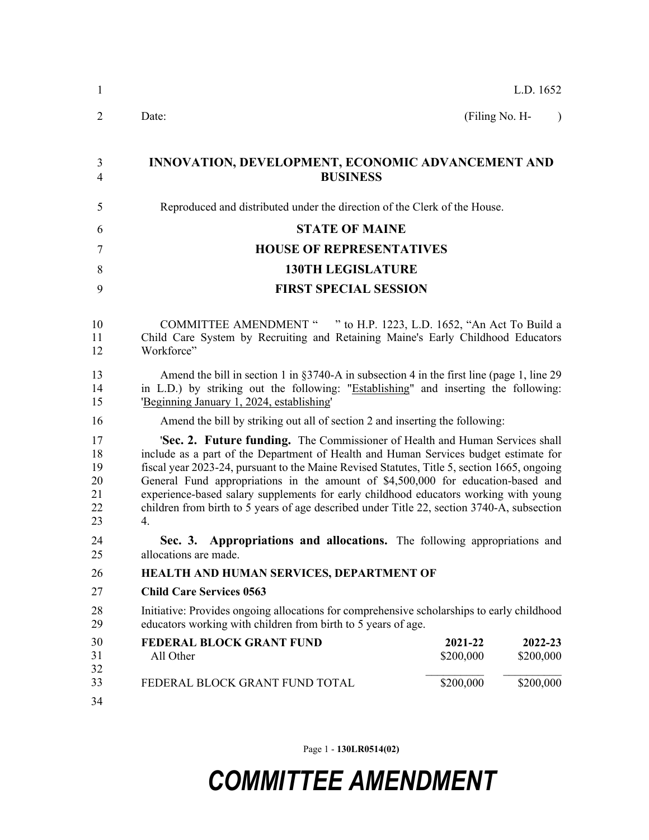| 1                                      | L.D. 1652                                                                                                                                                                                                                                                                                                                                                                                                                                                                                                                                           |  |  |  |  |
|----------------------------------------|-----------------------------------------------------------------------------------------------------------------------------------------------------------------------------------------------------------------------------------------------------------------------------------------------------------------------------------------------------------------------------------------------------------------------------------------------------------------------------------------------------------------------------------------------------|--|--|--|--|
| $\overline{2}$                         | (Filing No. H-<br>Date:<br>$\lambda$                                                                                                                                                                                                                                                                                                                                                                                                                                                                                                                |  |  |  |  |
| 3<br>$\overline{4}$                    | <b>INNOVATION, DEVELOPMENT, ECONOMIC ADVANCEMENT AND</b><br><b>BUSINESS</b>                                                                                                                                                                                                                                                                                                                                                                                                                                                                         |  |  |  |  |
| 5                                      | Reproduced and distributed under the direction of the Clerk of the House.                                                                                                                                                                                                                                                                                                                                                                                                                                                                           |  |  |  |  |
| 6                                      | <b>STATE OF MAINE</b>                                                                                                                                                                                                                                                                                                                                                                                                                                                                                                                               |  |  |  |  |
| 7                                      | <b>HOUSE OF REPRESENTATIVES</b>                                                                                                                                                                                                                                                                                                                                                                                                                                                                                                                     |  |  |  |  |
| 8                                      | <b>130TH LEGISLATURE</b>                                                                                                                                                                                                                                                                                                                                                                                                                                                                                                                            |  |  |  |  |
| 9                                      | <b>FIRST SPECIAL SESSION</b>                                                                                                                                                                                                                                                                                                                                                                                                                                                                                                                        |  |  |  |  |
| 10<br>11<br>12                         | <b>COMMITTEE AMENDMENT "</b><br>" to H.P. 1223, L.D. 1652, "An Act To Build a<br>Child Care System by Recruiting and Retaining Maine's Early Childhood Educators<br>Workforce"                                                                                                                                                                                                                                                                                                                                                                      |  |  |  |  |
| 13<br>14<br>15                         | Amend the bill in section 1 in $\S 3740-A$ in subsection 4 in the first line (page 1, line 29)<br>in L.D.) by striking out the following: "Establishing" and inserting the following:<br>'Beginning January 1, 2024, establishing'                                                                                                                                                                                                                                                                                                                  |  |  |  |  |
| 16                                     | Amend the bill by striking out all of section 2 and inserting the following:                                                                                                                                                                                                                                                                                                                                                                                                                                                                        |  |  |  |  |
| 17<br>18<br>19<br>20<br>21<br>22<br>23 | 'Sec. 2. Future funding. The Commissioner of Health and Human Services shall<br>include as a part of the Department of Health and Human Services budget estimate for<br>fiscal year 2023-24, pursuant to the Maine Revised Statutes, Title 5, section 1665, ongoing<br>General Fund appropriations in the amount of \$4,500,000 for education-based and<br>experience-based salary supplements for early childhood educators working with young<br>children from birth to 5 years of age described under Title 22, section 3740-A, subsection<br>4. |  |  |  |  |
| 24<br>25                               | Appropriations and allocations. The following appropriations and<br>Sec. 3.<br>allocations are made.                                                                                                                                                                                                                                                                                                                                                                                                                                                |  |  |  |  |
| 26                                     | HEALTH AND HUMAN SERVICES, DEPARTMENT OF                                                                                                                                                                                                                                                                                                                                                                                                                                                                                                            |  |  |  |  |
| 27                                     | <b>Child Care Services 0563</b>                                                                                                                                                                                                                                                                                                                                                                                                                                                                                                                     |  |  |  |  |
| 28<br>29                               | Initiative: Provides ongoing allocations for comprehensive scholarships to early childhood<br>educators working with children from birth to 5 years of age.                                                                                                                                                                                                                                                                                                                                                                                         |  |  |  |  |
| 30<br>31<br>32                         | <b>FEDERAL BLOCK GRANT FUND</b><br>2021-22<br>2022-23<br>All Other<br>\$200,000<br>\$200,000                                                                                                                                                                                                                                                                                                                                                                                                                                                        |  |  |  |  |
| 33<br>34                               | \$200,000<br>\$200,000<br>FEDERAL BLOCK GRANT FUND TOTAL                                                                                                                                                                                                                                                                                                                                                                                                                                                                                            |  |  |  |  |

Page 1 - **130LR0514(02)**

## *COMMITTEE AMENDMENT*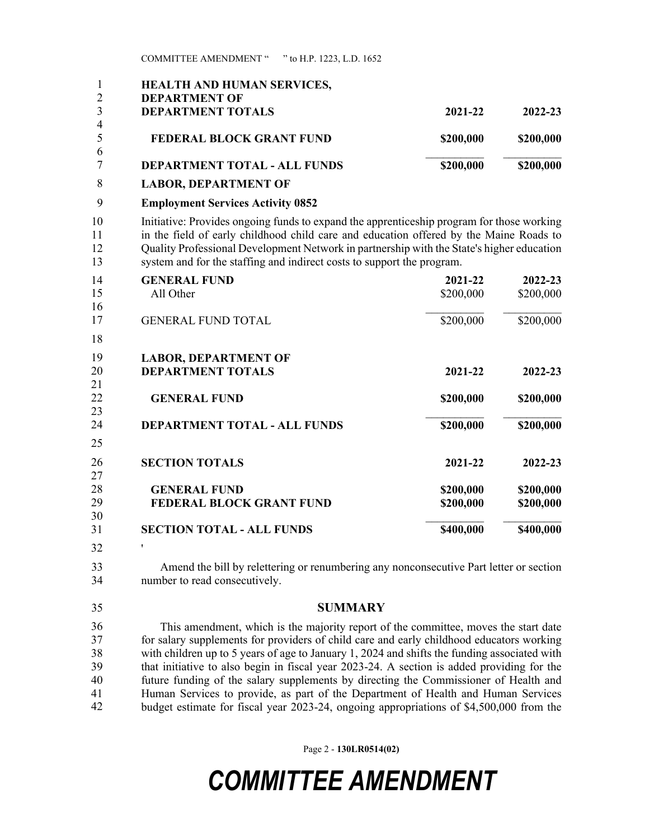COMMITTEE AMENDMENT " " to H.P. 1223, L.D. 1652

| 1<br>$\overline{2}$      | HEALTH AND HUMAN SERVICES,<br><b>DEPARTMENT OF</b>                                                                                                                                                                                                                                                                                                         |                        |                        |  |
|--------------------------|------------------------------------------------------------------------------------------------------------------------------------------------------------------------------------------------------------------------------------------------------------------------------------------------------------------------------------------------------------|------------------------|------------------------|--|
| 3                        | <b>DEPARTMENT TOTALS</b>                                                                                                                                                                                                                                                                                                                                   | 2021-22                | 2022-23                |  |
| $\overline{4}$<br>5<br>6 | <b>FEDERAL BLOCK GRANT FUND</b>                                                                                                                                                                                                                                                                                                                            | \$200,000              | \$200,000              |  |
| 7                        | DEPARTMENT TOTAL - ALL FUNDS                                                                                                                                                                                                                                                                                                                               | \$200,000              | \$200,000              |  |
| 8                        | <b>LABOR, DEPARTMENT OF</b>                                                                                                                                                                                                                                                                                                                                |                        |                        |  |
| 9                        | <b>Employment Services Activity 0852</b>                                                                                                                                                                                                                                                                                                                   |                        |                        |  |
| 10<br>11<br>12<br>13     | Initiative: Provides ongoing funds to expand the apprenticeship program for those working<br>in the field of early childhood child care and education offered by the Maine Roads to<br>Quality Professional Development Network in partnership with the State's higher education<br>system and for the staffing and indirect costs to support the program. |                        |                        |  |
| 14<br>15<br>16           | <b>GENERAL FUND</b><br>All Other                                                                                                                                                                                                                                                                                                                           | 2021-22<br>\$200,000   | 2022-23<br>\$200,000   |  |
| 17<br>18                 | <b>GENERAL FUND TOTAL</b>                                                                                                                                                                                                                                                                                                                                  | \$200,000              | \$200,000              |  |
| 19<br>20<br>21<br>22     | <b>LABOR, DEPARTMENT OF</b><br><b>DEPARTMENT TOTALS</b><br><b>GENERAL FUND</b>                                                                                                                                                                                                                                                                             | 2021-22<br>\$200,000   | 2022-23<br>\$200,000   |  |
| 23<br>24<br>25           | <b>DEPARTMENT TOTAL - ALL FUNDS</b>                                                                                                                                                                                                                                                                                                                        | \$200,000              | \$200,000              |  |
| 26<br>27                 | <b>SECTION TOTALS</b>                                                                                                                                                                                                                                                                                                                                      | 2021-22                | 2022-23                |  |
| 28<br>29<br>30           | <b>GENERAL FUND</b><br>FEDERAL BLOCK GRANT FUND                                                                                                                                                                                                                                                                                                            | \$200,000<br>\$200,000 | \$200,000<br>\$200,000 |  |

**SECTION TOTAL - ALL FUNDS \$400,000 \$400,000** 26 ' 32 31

33 Amend the bill by relettering or renumbering any nonconsecutive Part letter or section 34 number to read consecutively.

## 35 **SUMMARY**

This amendment, which is the majority report of the committee, moves the start date for salary supplements for providers of child care and early childhood educators working with children up to 5 years of age to January 1, 2024 and shifts the funding associated with that initiative to also begin in fiscal year 2023-24. A section is added providing for the future funding of the salary supplements by directing the Commissioner of Health and Human Services to provide, as part of the Department of Health and Human Services budget estimate for fiscal year 2023-24, ongoing appropriations of \$4,500,000 from the 36 37 38 39 40 41 42

Page 2 - **130LR0514(02)**